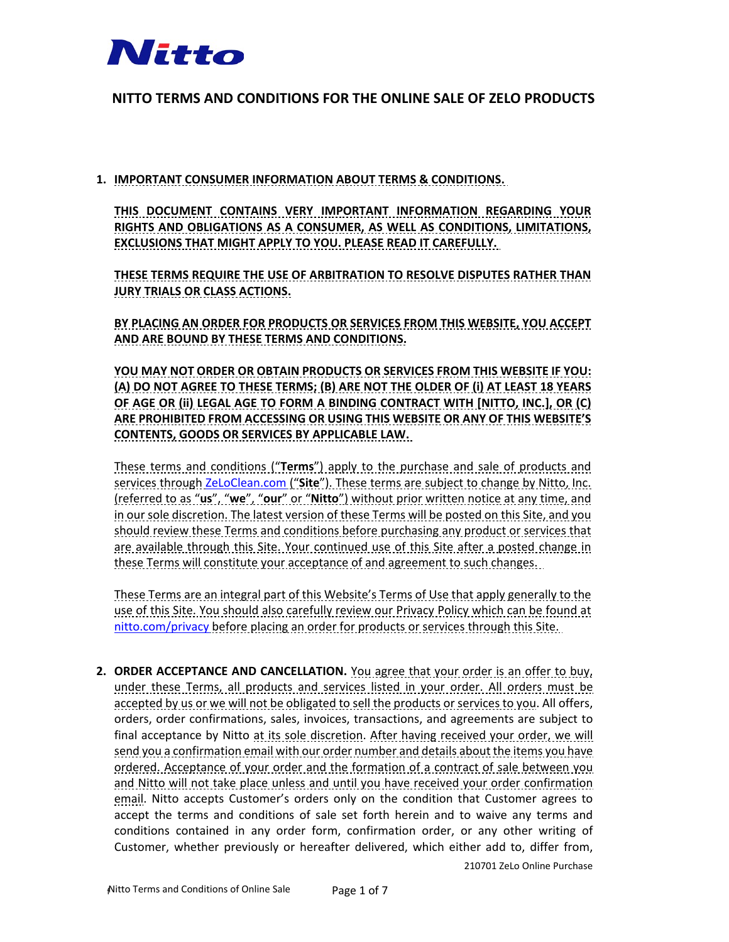

# **NITTO TERMS AND CONDITIONS FOR THE ONLINE SALE OF ZELO PRODUCTS**

**1. IMPORTANT CONSUMER INFORMATION ABOUT TERMS & CONDITIONS.**

**THIS DOCUMENT CONTAINS VERY IMPORTANT INFORMATION REGARDING YOUR RIGHTS AND OBLIGATIONS AS A CONSUMER, AS WELL AS CONDITIONS, LIMITATIONS, EXCLUSIONS THAT MIGHT APPLY TO YOU. PLEASE READ IT CAREFULLY.**

**THESE TERMS REQUIRE THE USE OF ARBITRATION TO RESOLVE DISPUTES RATHER THAN JURY TRIALS OR CLASS ACTIONS.**

**BY PLACING AN ORDER FOR PRODUCTS OR SERVICES FROM THIS WEBSITE, YOU ACCEPT AND ARE BOUND BY THESE TERMS AND CONDITIONS.**

**YOU MAY NOT ORDER OR OBTAIN PRODUCTS OR SERVICES FROM THIS WEBSITE IF YOU: (A) DO NOT AGREE TO THESE TERMS; (B) ARE NOT THE OLDER OF (i) AT LEAST 18 YEARS OF AGE OR (ii) LEGAL AGE TO FORM A BINDING CONTRACT WITH [NITTO, INC.], OR (C) ARE PROHIBITED FROM ACCESSING OR USING THIS WEBSITE OR ANY OF THIS WEBSITE'S CONTENTS, GOODS OR SERVICES BY APPLICABLE LAW.**

These terms and conditions ("**Terms**") apply to the purchase and sale of products and services through [ZeLoClean.com](https://nittogr-my.sharepoint.com/personal/a514967_nitto_com/Documents/Documents/ZELO%20PROJECT%20(SUMMER%202021)/ZELO%20WARRANTY%20-%20TERMS%20&%20CONDITIONS%20(JUNE%202021)/ZeLoClean.com) ("**Site**"). These terms are subject to change by Nitto, Inc. (referred to as "**us**", "**we**", "**our**" or "**Nitto**") without prior written notice at any time, and in our sole discretion. The latest version of these Terms will be posted on this Site, and you should review these Terms and conditions before purchasing any product or services that are available through this Site. Your continued use of this Site after a posted change in these Terms will constitute your acceptance of and agreement to such changes.

These Terms are an integral part of this Website's Terms of Use that apply generally to the use of this Site. You should also carefully review our Privacy Policy which can be found at [nitto.com/privacy](https://nittogr-my.sharepoint.com/personal/a514967_nitto_com/Documents/Documents/ZELO%20PROJECT%20(SUMMER%202021)/ZELO%20WARRANTY%20-%20TERMS%20&%20CONDITIONS%20(JUNE%202021)/nitto.com/privacy) before placing an order for products or services through this Site.

**2. ORDER ACCEPTANCE AND CANCELLATION.** You agree that your order is an offer to buy, under these Terms, all products and services listed in your order. All orders must be accepted by us or we will not be obligated to sell the products or services to you. All offers, orders, order confirmations, sales, invoices, transactions, and agreements are subject to final acceptance by Nitto at its sole discretion. After having received your order, we will send you a confirmation email with our order number and details about the items you have ordered. Acceptance of your order and the formation of a contract of sale between you and Nitto will not take place unless and until you have received your order confirmation email. Nitto accepts Customer's orders only on the condition that Customer agrees to accept the terms and conditions of sale set forth herein and to waive any terms and conditions contained in any order form, confirmation order, or any other writing of Customer, whether previously or hereafter delivered, which either add to, differ from,

210701 ZeLo Online Purchase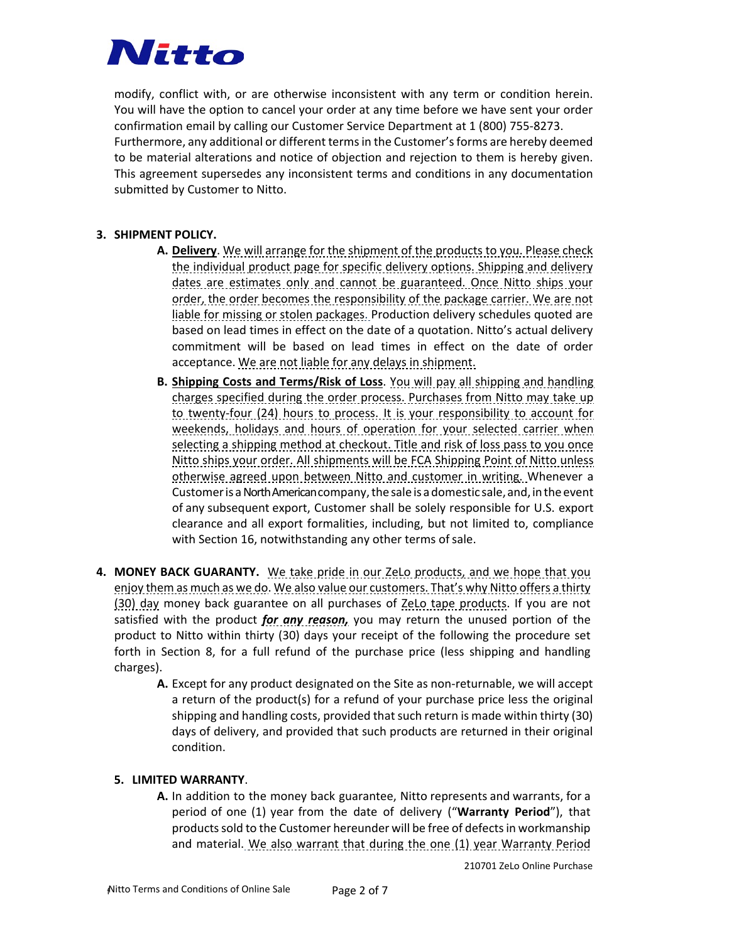

modify, conflict with, or are otherwise inconsistent with any term or condition herein. You will have the option to cancel your order at any time before we have sent your order confirmation email by calling our Customer Service Department at 1 (800) 755-8273. Furthermore, any additional or different terms in the Customer's forms are hereby deemed to be material alterations and notice of objection and rejection to them is hereby given. This agreement supersedes any inconsistent terms and conditions in any documentation submitted by Customer to Nitto.

### **3. SHIPMENT POLICY.**

- **A. Delivery**. We will arrange for the shipment of the products to you. Please check the individual product page for specific delivery options. Shipping and delivery dates are estimates only and cannot be guaranteed. Once Nitto ships your order, the order becomes the responsibility of the package carrier. We are not liable for missing or stolen packages. Production delivery schedules quoted are based on lead times in effect on the date of a quotation. Nitto's actual delivery commitment will be based on lead times in effect on the date of order acceptance. We are not liable for any delays in shipment.
- **B. Shipping Costs and Terms/Risk of Loss**. You will pay all shipping and handling charges specified during the order process. Purchases from Nitto may take up to twenty-four (24) hours to process. It is your responsibility to account for weekends, holidays and hours of operation for your selected carrier when selecting a shipping method at checkout. Title and risk of loss pass to you once Nitto ships your order. All shipments will be FCA Shipping Point of Nitto unless otherwise agreed upon between Nitto and customer in writing. Whenever a Customer is a North American company, the sale is a domestic sale, and, in the event of any subsequent export, Customer shall be solely responsible for U.S. export clearance and all export formalities, including, but not limited to, compliance with Section 16, notwithstanding any other terms of sale.
- **4. MONEY BACK GUARANTY.** We take pride in our ZeLo products, and we hope that you enjoy them as much as we do. We also value our customers. That's why Nitto offers a thirty (30) day money back guarantee on all purchases of ZeLo tape products. If you are not satisfied with the product *for any reason,* you may return the unused portion of the product to Nitto within thirty (30) days your receipt of the following the procedure set forth in Section 8, for a full refund of the purchase price (less shipping and handling charges).
	- **A.** Except for any product designated on the Site as non-returnable, we will accept a return of the product(s) for a refund of your purchase price less the original shipping and handling costs, provided that such return is made within thirty (30) days of delivery, and provided that such products are returned in their original condition.

# **5. LIMITED WARRANTY**.

**A.** In addition to the money back guarantee, Nitto represents and warrants, for a period of one (1) year from the date of delivery ("**Warranty Period**"), that products sold to the Customer hereunder will be free of defects in workmanship and material. We also warrant that during the one (1) year Warranty Period

210701 ZeLo Online Purchase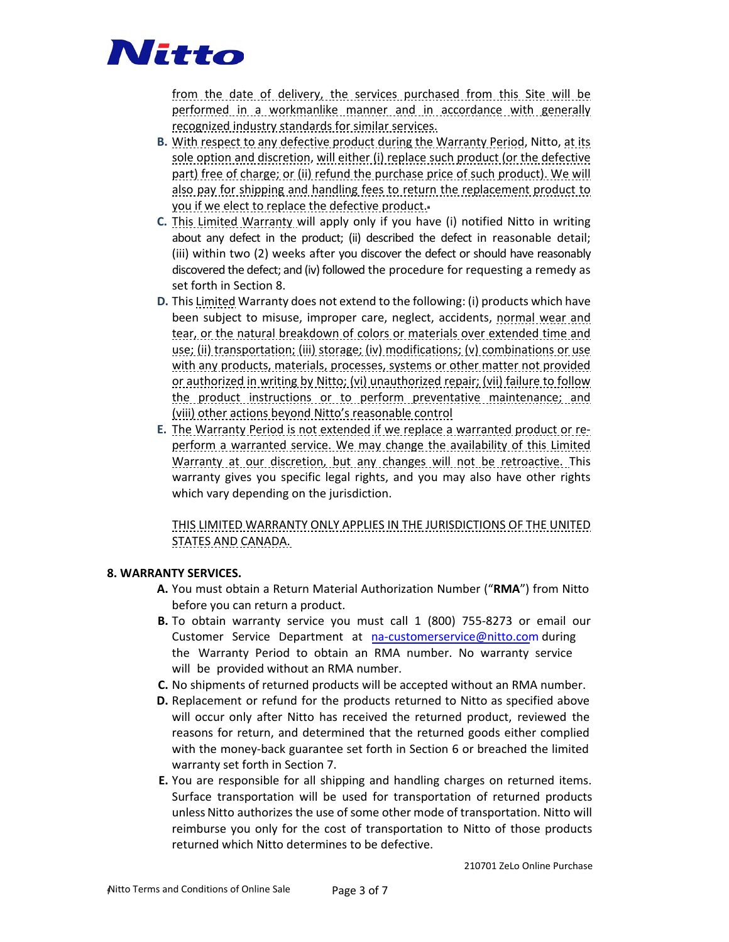

from the date of delivery, the services purchased from this Site will be performed in a workmanlike manner and in accordance with generally recognized industry standards for similar services.

- **B.** With respect to any defective product during the Warranty Period, Nitto, at its sole option and discretion, will either (i) replace such product (or the defective part) free of charge; or (ii) refund the purchase price of such product). We will also pay for shipping and handling fees to return the replacement product to you if we elect to replace the defective product.
- **C.** This Limited Warranty will apply only if you have (i) notified Nitto in writing about any defect in the product; (ii) described the defect in reasonable detail; (iii) within two (2) weeks after you discover the defect or should have reasonably discovered the defect; and (iv) followed the procedure for requesting a remedy as set forth in Section 8.
- **D.** This Limited Warranty does not extend to the following: (i) products which have been subject to misuse, improper care, neglect, accidents, normal wear and tear, or the natural breakdown of colors or materials over extended time and use; (ii) transportation; (iii) storage; (iv) modifications; (v) combinations or use with any products, materials, processes, systems or other matter not provided or authorized in writing by Nitto; (vi) unauthorized repair; (vii) failure to follow the product instructions or to perform preventative maintenance; and (viii) other actions beyond Nitto's reasonable control
- **E.** The Warranty Period is not extended if we replace a warranted product or reperform a warranted service. We may change the availability of this Limited Warranty at our discretion, but any changes will not be retroactive. This warranty gives you specific legal rights, and you may also have other rights which vary depending on the jurisdiction.

THIS LIMITED WARRANTY ONLY APPLIES IN THE JURISDICTIONS OF THE UNITED STATES AND CANADA.

#### **8. WARRANTY SERVICES.**

- **A.** You must obtain a Return Material Authorization Number ("**RMA**") from Nitto before you can return a product.
- **B.** To obtain warranty service you must call 1 (800) 755-8273 or email our Customer Service Department at [na-customerservice@nitto.com](mailto: na-customerservice@nitto.com) during the Warranty Period to obtain an RMA number. No warranty service will be provided without an RMA number.
- **C.** No shipments of returned products will be accepted without an RMA number.
- **D.** Replacement or refund for the products returned to Nitto as specified above will occur only after Nitto has received the returned product, reviewed the reasons for return, and determined that the returned goods either complied with the money-back guarantee set forth in Section 6 or breached the limited warranty set forth in Section 7.
- **E.** You are responsible for all shipping and handling charges on returned items. Surface transportation will be used for transportation of returned products unless Nitto authorizes the use of some other mode of transportation. Nitto will reimburse you only for the cost of transportation to Nitto of those products returned which Nitto determines to be defective.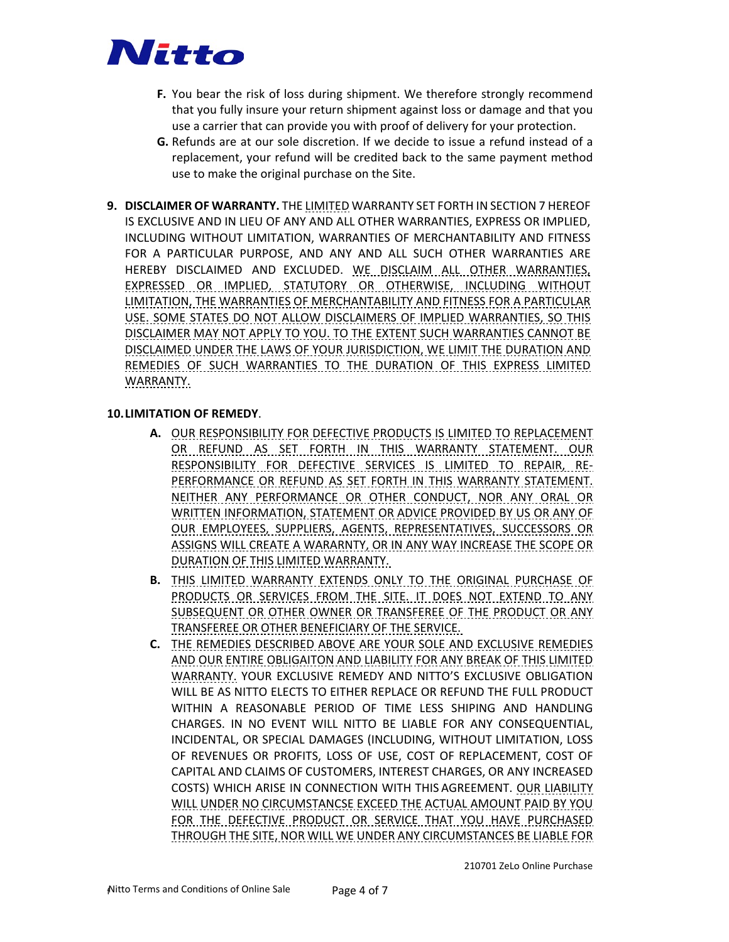

- **F.** You bear the risk of loss during shipment. We therefore strongly recommend that you fully insure your return shipment against loss or damage and that you use a carrier that can provide you with proof of delivery for your protection.
- **G.** Refunds are at our sole discretion. If we decide to issue a refund instead of a replacement, your refund will be credited back to the same payment method use to make the original purchase on the Site.
- **9. DISCLAIMER OF WARRANTY.** THE LIMITED WARRANTY SET FORTH IN SECTION 7 HEREOF IS EXCLUSIVE AND IN LIEU OF ANY AND ALL OTHER WARRANTIES, EXPRESS OR IMPLIED, INCLUDING WITHOUT LIMITATION, WARRANTIES OF MERCHANTABILITY AND FITNESS FOR A PARTICULAR PURPOSE, AND ANY AND ALL SUCH OTHER WARRANTIES ARE HEREBY DISCLAIMED AND EXCLUDED. WE DISCLAIM ALL OTHER WARRANTIES, EXPRESSED OR IMPLIED, STATUTORY OR OTHERWISE, INCLUDING WITHOUT LIMITATION, THE WARRANTIES OF MERCHANTABILITY AND FITNESS FOR A PARTICULAR USE. SOME STATES DO NOT ALLOW DISCLAIMERS OF IMPLIED WARRANTIES, SO THIS DISCLAIMER MAY NOT APPLY TO YOU. TO THE EXTENT SUCH WARRANTIES CANNOT BE DISCLAIMED UNDER THE LAWS OF YOUR JURISDICTION, WE LIMIT THE DURATION AND REMEDIES OF SUCH WARRANTIES TO THE DURATION OF THIS EXPRESS LIMITED WARRANTY.

#### **10.LIMITATION OF REMEDY**.

- **A.** OUR RESPONSIBILITY FOR DEFECTIVE PRODUCTS IS LIMITED TO REPLACEMENT OR REFUND AS SET FORTH IN THIS WARRANTY STATEMENT. OUR RESPONSIBILITY FOR DEFECTIVE SERVICES IS LIMITED TO REPAIR, RE-PERFORMANCE OR REFUND AS SET FORTH IN THIS WARRANTY STATEMENT. NEITHER ANY PERFORMANCE OR OTHER CONDUCT, NOR ANY ORAL OR WRITTEN INFORMATION, STATEMENT OR ADVICE PROVIDED BY US OR ANY OF OUR EMPLOYEES, SUPPLIERS, AGENTS, REPRESENTATIVES, SUCCESSORS OR ASSIGNS WILL CREATE A WARARNTY, OR IN ANY WAY INCREASE THE SCOPE OR DURATION OF THIS LIMITED WARRANTY.
- **B.** THIS LIMITED WARRANTY EXTENDS ONLY TO THE ORIGINAL PURCHASE OF PRODUCTS OR SERVICES FROM THE SITE. IT DOES NOT EXTEND TO ANY SUBSEQUENT OR OTHER OWNER OR TRANSFEREE OF THE PRODUCT OR ANY TRANSFEREE OR OTHER BENEFICIARY OF THE SERVICE.
- **C.** THE REMEDIES DESCRIBED ABOVE ARE YOUR SOLE AND EXCLUSIVE REMEDIES AND OUR ENTIRE OBLIGAITON AND LIABILITY FOR ANY BREAK OF THIS LIMITED WARRANTY. YOUR EXCLUSIVE REMEDY AND NITTO'S EXCLUSIVE OBLIGATION WILL BE AS NITTO ELECTS TO EITHER REPLACE OR REFUND THE FULL PRODUCT WITHIN A REASONABLE PERIOD OF TIME LESS SHIPING AND HANDLING CHARGES. IN NO EVENT WILL NITTO BE LIABLE FOR ANY CONSEQUENTIAL, INCIDENTAL, OR SPECIAL DAMAGES (INCLUDING, WITHOUT LIMITATION, LOSS OF REVENUES OR PROFITS, LOSS OF USE, COST OF REPLACEMENT, COST OF CAPITAL AND CLAIMS OF CUSTOMERS, INTEREST CHARGES, OR ANY INCREASED COSTS) WHICH ARISE IN CONNECTION WITH THIS AGREEMENT. OUR LIABILITY WILL UNDER NO CIRCUMSTANCSE EXCEED THE ACTUAL AMOUNT PAID BY YOU FOR THE DEFECTIVE PRODUCT OR SERVICE THAT YOU HAVE PURCHASED THROUGH THE SITE, NOR WILL WE UNDER ANY CIRCUMSTANCES BE LIABLE FOR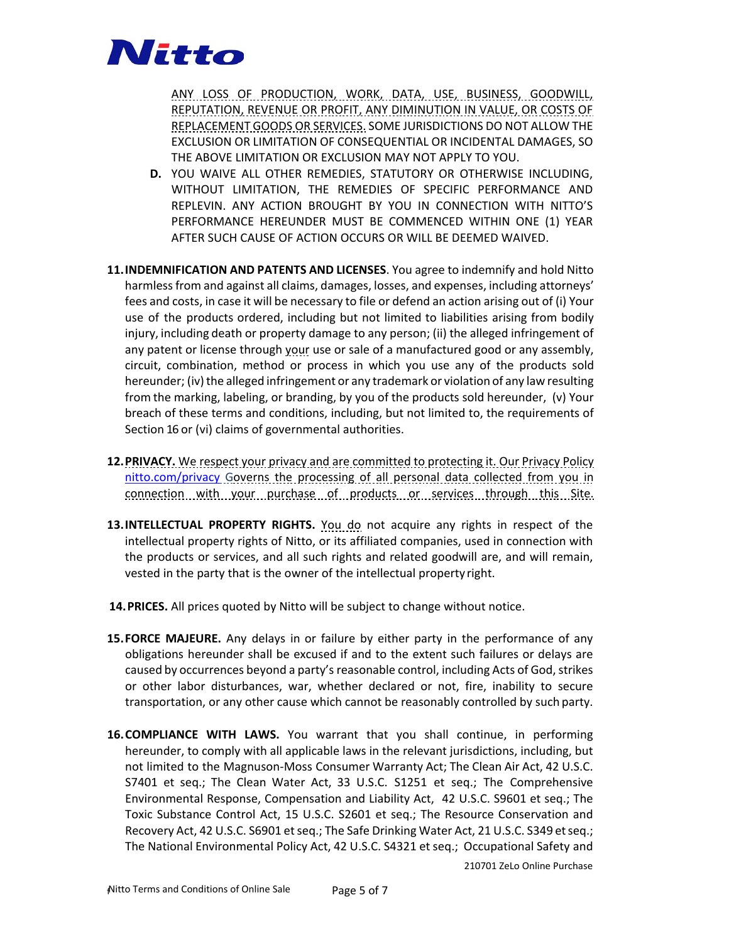

ANY LOSS OF PRODUCTION, WORK, DATA, USE, BUSINESS, GOODWILL, REPUTATION, REVENUE OR PROFIT, ANY DIMINUTION IN VALUE, OR COSTS OF REPLACEMENT GOODS OR SERVICES. SOME JURISDICTIONS DO NOT ALLOW THE EXCLUSION OR LIMITATION OF CONSEQUENTIAL OR INCIDENTAL DAMAGES, SO THE ABOVE LIMITATION OR EXCLUSION MAY NOT APPLY TO YOU.

- **D.** YOU WAIVE ALL OTHER REMEDIES, STATUTORY OR OTHERWISE INCLUDING, WITHOUT LIMITATION, THE REMEDIES OF SPECIFIC PERFORMANCE AND REPLEVIN. ANY ACTION BROUGHT BY YOU IN CONNECTION WITH NITTO'S PERFORMANCE HEREUNDER MUST BE COMMENCED WITHIN ONE (1) YEAR AFTER SUCH CAUSE OF ACTION OCCURS OR WILL BE DEEMED WAIVED.
- **11.INDEMNIFICATION AND PATENTS AND LICENSES**. You agree to indemnify and hold Nitto harmless from and against all claims, damages, losses, and expenses, including attorneys' fees and costs, in case it will be necessary to file or defend an action arising out of (i) Your use of the products ordered, including but not limited to liabilities arising from bodily injury, including death or property damage to any person; (ii) the alleged infringement of any patent or license through your use or sale of a manufactured good or any assembly, circuit, combination, method or process in which you use any of the products sold hereunder; (iv) the alleged infringement or any trademark or violation of any law resulting from the marking, labeling, or branding, by you of the products sold hereunder, (v) Your breach of these terms and conditions, including, but not limited to, the requirements of Section 16 or (vi) claims of governmental authorities.
- **12.PRIVACY.** We respect your privacy and are committed to protecting it. Our Privacy Policy [nitto.com/privacy](https://nittogr-my.sharepoint.com/personal/a514967_nitto_com/Documents/Documents/ZELO%20PROJECT%20(SUMMER%202021)/ZELO%20WARRANTY%20-%20TERMS%20&%20CONDITIONS%20(JUNE%202021)/nitto.com/privacy) Governs the processing of all personal data collected from you in connection with your purchase of products or services through this Site.
- **13.INTELLECTUAL PROPERTY RIGHTS.** You do not acquire any rights in respect of the intellectual property rights of Nitto, or its affiliated companies, used in connection with the products or services, and all such rights and related goodwill are, and will remain, vested in the party that is the owner of the intellectual property right.
- **14.PRICES.** All prices quoted by Nitto will be subject to change without notice.
- **15.FORCE MAJEURE.** Any delays in or failure by either party in the performance of any obligations hereunder shall be excused if and to the extent such failures or delays are caused by occurrences beyond a party's reasonable control, including Acts of God, strikes or other labor disturbances, war, whether declared or not, fire, inability to secure transportation, or any other cause which cannot be reasonably controlled by such party.
- **16.COMPLIANCE WITH LAWS.** You warrant that you shall continue, in performing hereunder, to comply with all applicable laws in the relevant jurisdictions, including, but not limited to the Magnuson-Moss Consumer Warranty Act; The Clean Air Act, 42 U.S.C. S7401 et seq.; The Clean Water Act, 33 U.S.C. S1251 et seq.; The Comprehensive Environmental Response, Compensation and Liability Act, 42 U.S.C. S9601 et seq.; The Toxic Substance Control Act, 15 U.S.C. S2601 et seq.; The Resource Conservation and Recovery Act, 42 U.S.C. S6901 et seq.; The Safe Drinking Water Act, 21 U.S.C. S349 etseq.; The National Environmental Policy Act, 42 U.S.C. S4321 et seq.; Occupational Safety and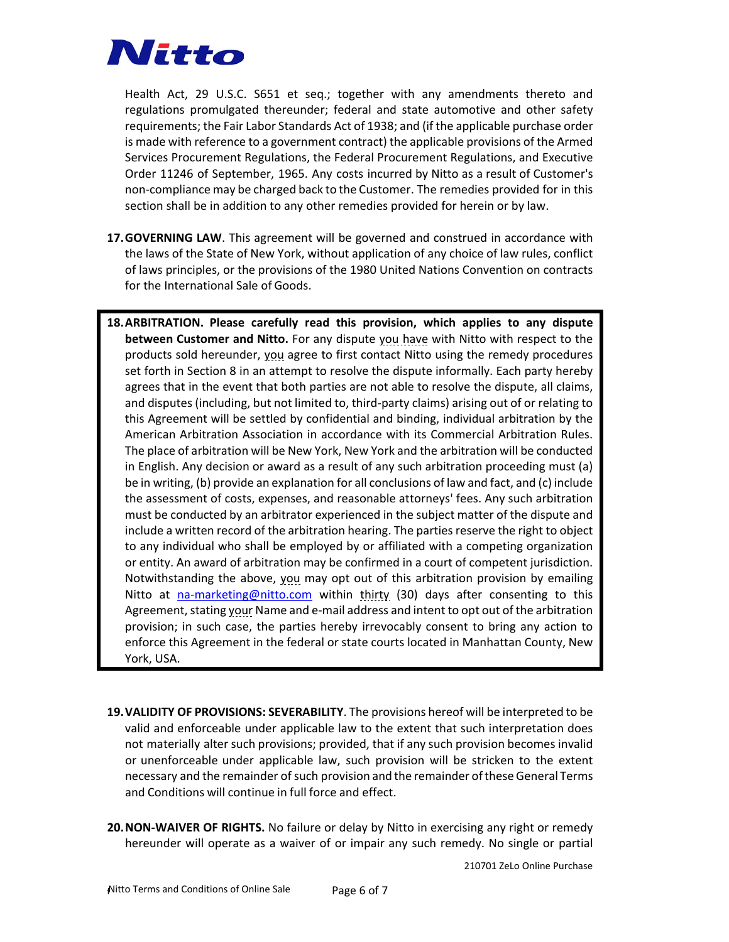

Health Act, 29 U.S.C. S651 et seq.; together with any amendments thereto and regulations promulgated thereunder; federal and state automotive and other safety requirements; the Fair Labor Standards Act of 1938; and (if the applicable purchase order is made with reference to a government contract) the applicable provisions of the Armed Services Procurement Regulations, the Federal Procurement Regulations, and Executive Order 11246 of September, 1965. Any costs incurred by Nitto as a result of Customer's non-compliance may be charged back to the Customer. The remedies provided for in this section shall be in addition to any other remedies provided for herein or by law.

- **17.GOVERNING LAW**. This agreement will be governed and construed in accordance with the laws of the State of New York, without application of any choice of law rules, conflict of laws principles, or the provisions of the 1980 United Nations Convention on contracts for the International Sale of Goods.
- **18.ARBITRATION. Please carefully read this provision, which applies to any dispute between Customer and Nitto.** For any dispute you have with Nitto with respect to the products sold hereunder, you agree to first contact Nitto using the remedy procedures set forth in Section 8 in an attempt to resolve the dispute informally. Each party hereby agrees that in the event that both parties are not able to resolve the dispute, all claims, and disputes (including, but not limited to, third-party claims) arising out of or relating to this Agreement will be settled by confidential and binding, individual arbitration by the American Arbitration Association in accordance with its Commercial Arbitration Rules. The place of arbitration will be New York, New York and the arbitration will be conducted in English. Any decision or award as a result of any such arbitration proceeding must (a) be in writing, (b) provide an explanation for all conclusions of law and fact, and (c) include the assessment of costs, expenses, and reasonable attorneys' fees. Any such arbitration must be conducted by an arbitrator experienced in the subject matter of the dispute and include a written record of the arbitration hearing. The parties reserve the right to object to any individual who shall be employed by or affiliated with a competing organization or entity. An award of arbitration may be confirmed in a court of competent jurisdiction. Notwithstanding the above, you may opt out of this arbitration provision by emailing Nitto at [na-marketing@nitto.com](mailto:na-marketing@nitto.com) within thirty (30) days after consenting to this Agreement, stating your Name and e-mail address and intent to opt out of the arbitration provision; in such case, the parties hereby irrevocably consent to bring any action to enforce this Agreement in the federal or state courts located in Manhattan County, New York, USA.
- **19.VALIDITY OF PROVISIONS: SEVERABILITY**. The provisions hereof will be interpreted to be valid and enforceable under applicable law to the extent that such interpretation does not materially alter such provisions; provided, that if any such provision becomes invalid or unenforceable under applicable law, such provision will be stricken to the extent necessary and the remainder of such provision and the remainder of these General Terms and Conditions will continue in full force and effect.
- **20.NON-WAIVER OF RIGHTS.** No failure or delay by Nitto in exercising any right or remedy hereunder will operate as a waiver of or impair any such remedy. No single or partial